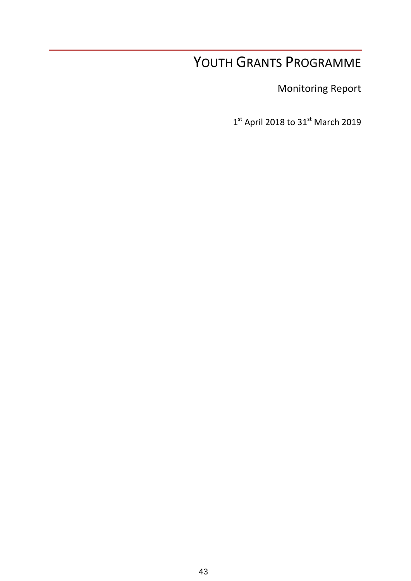# YOUTH GRANTS PROGRAMME

Monitoring Report

 $1<sup>st</sup>$  April 2018 to 31 $<sup>st</sup>$  March 2019</sup>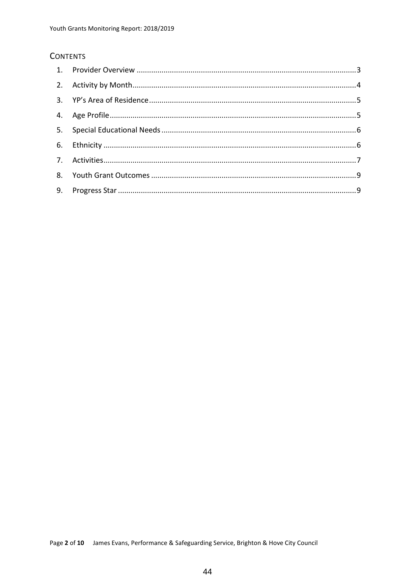#### **CONTENTS**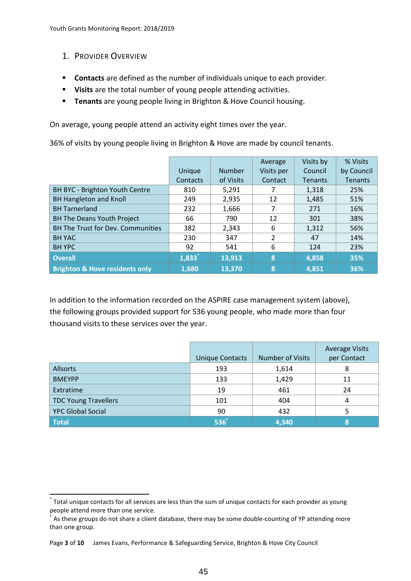<span id="page-2-0"></span>1. PROVIDER OVERVIEW

**.** 

- **Contacts** are defined as the number of individuals unique to each provider.
- **Visits** are the total number of young people attending activities.
- **Tenants** are young people living in Brighton & Hove Council housing.

On average, young people attend an activity eight times over the year.

36% of visits by young people living in Brighton & Hove are made by council tenants.

|                                           |          |               | Average    | Visits by      | % Visits       |
|-------------------------------------------|----------|---------------|------------|----------------|----------------|
|                                           | Unique   | <b>Number</b> | Visits per | Council        | by Council     |
|                                           | Contacts | of Visits     | Contact    | <b>Tenants</b> | <b>Tenants</b> |
| BH BYC - Brighton Youth Centre            | 810      | 5,291         |            | 1,318          | 25%            |
| <b>BH Hangleton and Knoll</b>             | 249      | 2,935         | 12         | 1,485          | 51%            |
| <b>BH</b> Tarnerland                      | 232      | 1,666         |            | 271            | 16%            |
| <b>BH The Deans Youth Project</b>         | 66       | 790           | 12         | 301            | 38%            |
| <b>BH The Trust for Dev. Communities</b>  | 382      | 2,343         | 6          | 1,312          | 56%            |
| <b>BH YAC</b>                             | 230      | 347           | 2          | 47             | 14%            |
| <b>BH YPC</b>                             | 92       | 541           | 6          | 124            | 23%            |
| <b>Overall</b>                            | 1,833    | 13,913        | 8          | 4,858          | 35%            |
| <b>Brighton &amp; Hove residents only</b> | 1,680    | 13,370        | Ι8.        | 4,851          | 36%            |

In addition to the information recorded on the ASPIRE case management system (above), the following groups provided support for 536 young people, who made more than four thousand visits to these services over the year.

|                             | <b>Unique Contacts</b> | <b>Number of Visits</b> | <b>Average Visits</b><br>per Contact |
|-----------------------------|------------------------|-------------------------|--------------------------------------|
| <b>Allsorts</b>             | 193                    | 1,614                   | 8                                    |
| <b>BMEYPP</b>               | 133                    | 1,429                   | 11                                   |
| Extratime                   | 19                     | 461                     | 24                                   |
| <b>TDC Young Travellers</b> | 101                    | 404                     | 4                                    |
| <b>YPC Global Social</b>    | 90                     | 432                     |                                      |
| Total                       | 536 <sup>†</sup>       | 4,340                   | 8                                    |

<sup>\*</sup> Total unique contacts for all services are less than the sum of unique contacts for each provider as young people attend more than one service.

<sup>†</sup> As these groups do not share a client database, there may be some double-counting of YP attending more than one group.

Page **3** of **10** James Evans, Performance & Safeguarding Service, Brighton & Hove City Council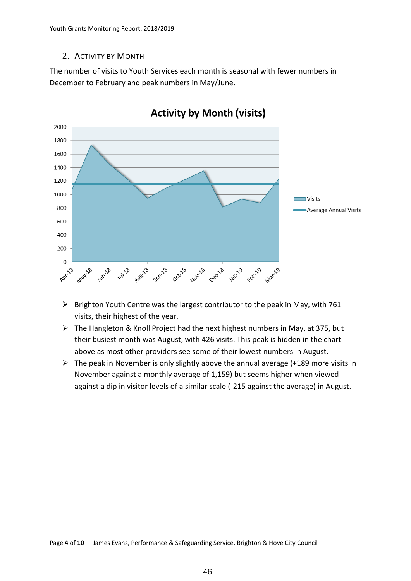#### <span id="page-3-0"></span>2. ACTIVITY BY MONTH

The number of visits to Youth Services each month is seasonal with fewer numbers in December to February and peak numbers in May/June.



- $\triangleright$  Brighton Youth Centre was the largest contributor to the peak in May, with 761 visits, their highest of the year.
- $\triangleright$  The Hangleton & Knoll Project had the next highest numbers in May, at 375, but their busiest month was August, with 426 visits. This peak is hidden in the chart above as most other providers see some of their lowest numbers in August.
- $\triangleright$  The peak in November is only slightly above the annual average (+189 more visits in November against a monthly average of 1,159) but seems higher when viewed against a dip in visitor levels of a similar scale (-215 against the average) in August.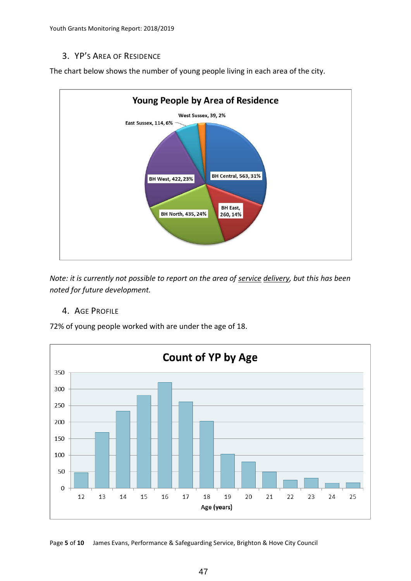Youth Grants Monitoring Report: 2018/2019

#### <span id="page-4-0"></span>3. YP'S AREA OF RESIDENCE

The chart below shows the number of young people living in each area of the city.



*Note: it is currently not possible to report on the area of service delivery, but this has been noted for future development.*

#### <span id="page-4-1"></span>4. AGE PROFILE

72% of young people worked with are under the age of 18.



Page **5** of **10** James Evans, Performance & Safeguarding Service, Brighton & Hove City Council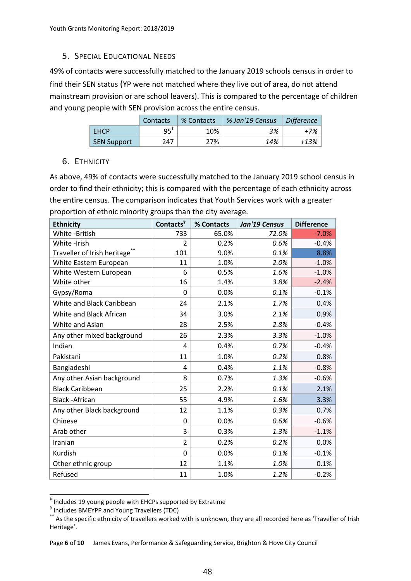## <span id="page-5-0"></span>5. SPECIAL EDUCATIONAL NEEDS

49% of contacts were successfully matched to the January 2019 schools census in order to find their SEN status (YP were not matched where they live out of area, do not attend mainstream provision or are school leavers). This is compared to the percentage of children and young people with SEN provision across the entire census.

|                    | Contacts     | % Contacts | % Jan'19 Census | Difference |
|--------------------|--------------|------------|-----------------|------------|
| <b>FHCP</b>        | $95^{\circ}$ | 10%        | 3%              | +7%        |
| <b>SEN Support</b> | 247          | 27%        | 14%             | +13%       |

#### <span id="page-5-1"></span>6. ETHNICITY

As above, 49% of contacts were successfully matched to the January 2019 school census in order to find their ethnicity; this is compared with the percentage of each ethnicity across the entire census. The comparison indicates that Youth Services work with a greater proportion of ethnic minority groups than the city average.

| <b>Ethnicity</b>                         | Contacts <sup>§</sup> | % Contacts | Jan'19 Census | <b>Difference</b> |
|------------------------------------------|-----------------------|------------|---------------|-------------------|
| White -British                           | 733                   | 65.0%      | 72.0%         | $-7.0%$           |
| White -Irish                             | $\overline{2}$        | 0.2%       | 0.6%          | $-0.4%$           |
| Traveller of Irish heritage <sup>®</sup> | 101                   | 9.0%       | 0.1%          | 8.8%              |
| White Eastern European                   | 11                    | 1.0%       | 2.0%          | $-1.0%$           |
| White Western European                   | 6                     | 0.5%       | 1.6%          | $-1.0%$           |
| White other                              | 16                    | 1.4%       | 3.8%          | $-2.4%$           |
| Gypsy/Roma                               | 0                     | 0.0%       | 0.1%          | $-0.1%$           |
| White and Black Caribbean                | 24                    | 2.1%       | 1.7%          | 0.4%              |
| White and Black African                  | 34                    | 3.0%       | 2.1%          | 0.9%              |
| White and Asian                          | 28                    | 2.5%       | 2.8%          | $-0.4%$           |
| Any other mixed background               | 26                    | 2.3%       | 3.3%          | $-1.0%$           |
| Indian                                   | 4                     | 0.4%       | 0.7%          | $-0.4%$           |
| Pakistani                                | 11                    | 1.0%       | 0.2%          | 0.8%              |
| Bangladeshi                              | 4                     | 0.4%       | 1.1%          | $-0.8%$           |
| Any other Asian background               | 8                     | 0.7%       | 1.3%          | $-0.6%$           |
| <b>Black Caribbean</b>                   | 25                    | 2.2%       | 0.1%          | 2.1%              |
| <b>Black -African</b>                    | 55                    | 4.9%       | 1.6%          | 3.3%              |
| Any other Black background               | 12                    | 1.1%       | 0.3%          | 0.7%              |
| Chinese                                  | $\Omega$              | 0.0%       | 0.6%          | $-0.6%$           |
| Arab other                               | 3                     | 0.3%       | 1.3%          | $-1.1%$           |
| Iranian                                  | $\overline{2}$        | 0.2%       | 0.2%          | 0.0%              |
| Kurdish                                  | 0                     | 0.0%       | 0.1%          | $-0.1%$           |
| Other ethnic group                       | 12                    | 1.1%       | 1.0%          | 0.1%              |
| Refused                                  | 11                    | 1.0%       | 1.2%          | $-0.2%$           |

<sup>‡</sup> Includes 19 young people with EHCPs supported by Extratime

**.** 

Page **6** of **10** James Evans, Performance & Safeguarding Service, Brighton & Hove City Council

<sup>§</sup> Includes BMEYPP and Young Travellers (TDC)

<sup>\*\*</sup> As the specific ethnicity of travellers worked with is unknown, they are all recorded here as 'Traveller of Irish Heritage'.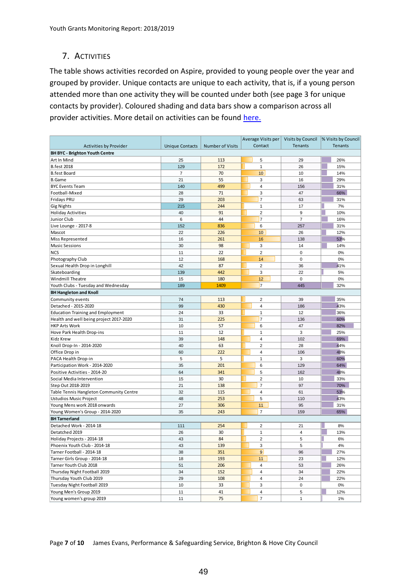### <span id="page-6-0"></span>7. ACTIVITIES

The table shows activities recorded on Aspire, provided to young people over the year and grouped by provider. Unique contacts are unique to each activity, that is, if a young person attended more than one activity they will be counted under both (see page 3 for unique contacts by provider). Coloured shading and data bars show a comparison across all provider activities. More detail on activities can be found [here.](https://brightonandhoveyouthcollective.org.uk/)

|                                          |                        |                         |                         |                | Average Visits per   Visits by Council  % Visits by Council |
|------------------------------------------|------------------------|-------------------------|-------------------------|----------------|-------------------------------------------------------------|
| Activities by Provider                   | <b>Unique Contacts</b> | <b>Number of Visits</b> | Contact                 | Tenants        | <b>Tenants</b>                                              |
| <b>BH BYC - Brighton Youth Centre</b>    |                        |                         |                         |                |                                                             |
| Art In Mind                              | 25                     | 113                     | 5                       | 29             | 26%                                                         |
| <b>B.fest 2018</b>                       | 129                    | 172                     | $\mathbf{1}$            | 26             | 15%                                                         |
| <b>B.fest Board</b>                      | $\overline{7}$         | 70                      | 10                      | 10             | 14%                                                         |
| <b>B.Game</b>                            | 21                     | 55                      | 3                       | 16             | 29%                                                         |
| <b>BYC Events Team</b>                   | 140                    | 499                     | 4                       | 156            | 31%                                                         |
| Football-Mixed                           | 28                     | 71                      | 3                       | 47             | 66%                                                         |
| Fridays PRU                              | 29                     | 203                     | $\overline{7}$          | 63             | 31%                                                         |
| <b>Gig Nights</b>                        | 215                    | 244                     | $\mathbf{1}$            | 17             | 7%                                                          |
| <b>Holiday Activities</b>                | 40                     | 91                      | $\overline{2}$          | 9              | 10%                                                         |
| Junior Club                              | 6                      | 44                      | $\overline{7}$          | $\overline{7}$ | 16%                                                         |
| Live Lounge - 2017-8                     | 152                    | 836                     | 6                       | 257            | 31%                                                         |
| Mascot                                   | 22                     | 226                     | 10                      | 26             | 12%                                                         |
| Miss Represented                         | 16                     | 261                     | 16                      | 138            | 53%                                                         |
| <b>Music Sessions</b>                    | 30                     | 98                      | 3                       | 14             | 14%                                                         |
| <b>NCS</b>                               | 11                     | 22                      | $\overline{c}$          | $\pmb{0}$      | 0%                                                          |
| Photography Club                         | 12                     | 168                     | 14                      | $\pmb{0}$      | 0%                                                          |
| Sexual Health Drop in Longhill           | 42                     | 87                      | $\overline{2}$          | 36             | 41%                                                         |
| Skateboarding                            | 139                    | 442                     | 3                       | 22             | 5%                                                          |
| Windmill Theatre                         | 15                     | 180                     | 12                      | $\mathbf 0$    | 0%                                                          |
| Youth Clubs - Tuesday and Wednesday      | 189                    | 1409                    | 7                       | 445            | 32%                                                         |
| <b>BH Hangleton and Knoll</b>            |                        |                         |                         |                |                                                             |
| Community events                         | 74                     | 113                     | 2                       | 39             | 35%                                                         |
| Detached - 2015-2020                     | 99                     | 430                     | 4                       | 186            | 43%                                                         |
| <b>Education Training and Employment</b> | 24                     | 33                      | $\mathbf{1}$            | 12             | 36%                                                         |
| Health and well being project 2017-2020  | 31                     | 225                     | $\overline{7}$          | 136            | 60%                                                         |
| <b>HKP Arts Work</b>                     | 10                     | 57                      | 6                       | 47             | 82%                                                         |
| Hove Park Health Drop-ins                | 11                     | 12                      | $\mathbf{1}$            | 3              | 25%                                                         |
| <b>Kidz Krew</b>                         | 39                     | 148                     | 4                       | 102            | 69%                                                         |
| Knoll Drop-In - 2014-2020                | 40                     | 63                      | $\overline{c}$          | 28             | 44%                                                         |
| Office Drop in                           | 60                     | 222                     | 4                       | 106            | 48%                                                         |
| PACA Health Drop-in                      | 5                      | 5                       | $\mathbf{1}$            | 3              | 60%                                                         |
| Participation Work - 2014-2020           | 35                     | 201                     | 6                       | 129            | 64%                                                         |
| Positive Activities - 2014-20            | 64                     | 341                     | 5                       | 162            | 48%                                                         |
| Social Media Intervention                | 15                     | 30                      | $\overline{c}$          | 10             | 33%                                                         |
| Step Out 2018-2019                       | 21                     | 138                     | $\overline{7}$          | 97             | 70%                                                         |
| Table Tennis Hangleton Community Centre  | 32                     | 115                     | 4                       | 61             | 53%                                                         |
| Ustudios Music Project                   | 48                     | 253                     | 5                       | 110            | 43%                                                         |
| Young Mens work 2018 onwards             | 27                     | 306                     | 11                      | 95             | 31%                                                         |
| Young Women's Group - 2014-2020          | 35                     | 243                     | $\overline{7}$          | 159            | 65%                                                         |
| <b>BH Tarnerland</b>                     |                        |                         |                         |                |                                                             |
| Detached Work - 2014-18                  | 111                    | 254                     | 2                       | 21             | 8%                                                          |
| Detatched 2019                           | 26                     | 30                      | $\mathbf{1}$            | 4              | 13%                                                         |
| Holiday Projects - 2014-18               | 43                     | 84                      | $\overline{2}$          | 5              | 6%                                                          |
| Phoenix Youth Club - 2014-18             | 43                     | 139                     | 3                       | 5              | 4%                                                          |
| Tarner Football - 2014-18                | 38                     | 351                     | 9                       | 96             | 27%                                                         |
| Tarner Girls Group - 2014-18             | 18                     | 193                     | 11                      | 23             | 12%                                                         |
| Tarner Youth Club 2018                   | 51                     | 206                     | $\overline{\mathbf{4}}$ | 53             | 26%                                                         |
| Thursday Night Football 2019             | 34                     | 152                     | 4                       | 34             | 22%                                                         |
| Thursday Youth Club 2019                 | 29                     | 108                     | 4                       | 24             | 22%                                                         |
| Tuesday Night Football 2019              | 10                     | 33                      | 3                       | 0              | $0\%$                                                       |
| Young Men's Group 2019                   | 11                     | 41                      | $\overline{\mathbf{4}}$ | 5              | 12%                                                         |
| Young women's group 2019                 | 11                     | 75                      | $\overline{7}$          | $\mathbf{1}$   | $1\%$                                                       |
|                                          |                        |                         |                         |                |                                                             |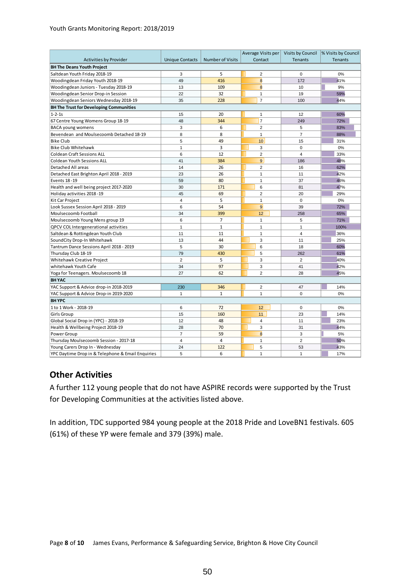#### Youth Grants Monitoring Report: 2018/2019

|                                                   |                        |                         | Average Visits per |                | Visits by Council  % Visits by Council |  |
|---------------------------------------------------|------------------------|-------------------------|--------------------|----------------|----------------------------------------|--|
| <b>Activities by Provider</b>                     | <b>Unique Contacts</b> | <b>Number of Visits</b> | Contact            | <b>Tenants</b> | <b>Tenants</b>                         |  |
| <b>BH The Deans Youth Project</b>                 |                        |                         |                    |                |                                        |  |
| Saltdean Youth Friday 2018-19                     | 3                      | 5                       | $\overline{2}$     | $\mathbf 0$    | 0%                                     |  |
| Woodingdean Friday Youth 2018-19                  | 49                     | 416                     | $\bf{8}$           | 172            | 41%                                    |  |
| Woodingdean Juniors - Tuesday 2018-19             | 13                     | 109                     | 8                  | 10             | 9%                                     |  |
| Woodingdean Senior Drop-in Session                | 22                     | 32                      | $\mathbf{1}$       | 19             | 59%                                    |  |
| Woodingdean Seniors Wednesday 2018-19             | 35                     | 228                     | $\overline{7}$     | 100            | 44%                                    |  |
| <b>BH The Trust for Developing Communities</b>    |                        |                         |                    |                |                                        |  |
| $1 - 2 - 1s$                                      | 15                     | 20                      | $\mathbf{1}$       | 12             | 60%                                    |  |
| 67 Centre Young Womens Group 18-19                | 48                     | 344                     | $\overline{7}$     | 249            | 72%                                    |  |
| <b>BACA young womens</b>                          | 3                      | 6                       | $\overline{2}$     | 5              | 83%                                    |  |
| Bevendean and Moulsecoomb Detached 18-19          | 8                      | 8                       | $\mathbf{1}$       | $\overline{7}$ | 88%                                    |  |
| <b>Bike Club</b>                                  | 5                      | 49                      | 10                 | 15             | 31%                                    |  |
| <b>Bike Club Whitehawk</b>                        | $\mathbf{1}$           | $\overline{3}$          | 3                  | $\mathbf 0$    | 0%                                     |  |
| <b>Coldean Craft Sessions ALL</b>                 | 6                      | 12                      | $\overline{2}$     | $\overline{4}$ | 33%                                    |  |
| <b>Coldean Youth Sessions ALL</b>                 | 41                     | 384                     | $\overline{9}$     | 186            | 48%                                    |  |
| Detached All areas                                | 14                     | 26                      | $\overline{2}$     | 16             | 62%                                    |  |
| Detached East Brighton April 2018 - 2019          | 23                     | 26                      | $\mathbf{1}$       | 11             | 42%                                    |  |
| Events 18-19                                      | 59                     | 80                      | $\mathbf{1}$       | 37             | 46%                                    |  |
| Health and well being project 2017-2020           | 30                     | 171                     | 6                  | 81             | 47%                                    |  |
| Holiday activities 2018-19                        | 45                     | 69                      | $\overline{2}$     | 20             | 29%                                    |  |
| Kit Car Project                                   | $\overline{4}$         | 5                       | $\overline{1}$     | $\mathbf 0$    | 0%                                     |  |
| Look Sussex Session April 2018 - 2019             | 6                      | 54                      | 9                  | 39             | 72%                                    |  |
| Moulsecoomb Football                              | 34                     | 399                     | 12                 | 258            | 65%                                    |  |
| Moulsecoomb Young Mens group 19                   | 6                      | $\overline{7}$          | $\mathbf{1}$       | 5              | 71%                                    |  |
| QPCV COL Intergenerational activities             | 1                      | $\mathbf{1}$            | $\mathbf{1}$       | $\mathbf{1}$   | 100%                                   |  |
| Saltdean & Rottingdean Youth Club                 | 11                     | 11                      | $\mathbf{1}$       | $\overline{4}$ | 36%                                    |  |
| SoundCity Drop-In Whitehawk                       | 13                     | 44                      | 3                  | 11             | 25%                                    |  |
| Tantrum Dance Sessions April 2018 - 2019          | 5                      | 30                      | 6                  | 18             | 60%                                    |  |
| Thursday Club 18-19                               | 79                     | 430                     | 5                  | 262            | 61%                                    |  |
| Whitehawk Creative Project                        | $\overline{2}$         | 5                       | 3                  | $\overline{2}$ | 40%                                    |  |
| whitehawk Youth Cafe                              | 34                     | 97                      | 3                  | 41             | 42%                                    |  |
| Yoga for Teenagers. Moulsecoomb 18                | 27                     | 62                      | $\overline{2}$     | 28             | 45%                                    |  |
| <b>BHYAC</b>                                      |                        |                         |                    |                |                                        |  |
| YAC Support & Advice drop-in 2018-2019            | 230                    | 346                     | $\overline{2}$     | 47             | 14%                                    |  |
| YAC Support & Advice Drop-in 2019-2020            | $\mathbf{1}$           | $\mathbf{1}$            | $\mathbf{1}$       | $\mathbf 0$    | 0%                                     |  |
| <b>BHYPC</b>                                      |                        |                         |                    |                |                                        |  |
| 1 to 1 Work - 2018-19                             | 6                      | 72                      | 12                 | $\Omega$       | 0%                                     |  |
| <b>Girls Group</b>                                | 15                     | 160                     | 11                 | 23             | 14%                                    |  |
| Global Social Drop in (YPC) - 2018-19             | 12                     | 48                      | $\overline{4}$     | 11             | 23%                                    |  |
| Health & Wellbeing Project 2018-19                | 28                     | 70                      | 3                  | 31             | 44%                                    |  |
| Power Group                                       | $\overline{7}$         | 59                      | $\overline{8}$     | 3              | 5%                                     |  |
| Thursday Moulsecoomb Session - 2017-18            | $\overline{4}$         | $\overline{4}$          | $\mathbf{1}$       | $\overline{2}$ | 50%                                    |  |
| Young Carers Drop In - Wednesday                  | 24                     | 122                     | 5                  | 53             | 43%                                    |  |
| YPC Daytime Drop in & Telephone & Email Enquiries | 5                      | 6                       | $\mathbf{1}$       | $\mathbf{1}$   | 17%                                    |  |

#### **Other Activities**

A further 112 young people that do not have ASPIRE records were supported by the Trust for Developing Communities at the activities listed above.

In addition, TDC supported 984 young people at the 2018 Pride and LoveBN1 festivals. 605 (61%) of these YP were female and 379 (39%) male.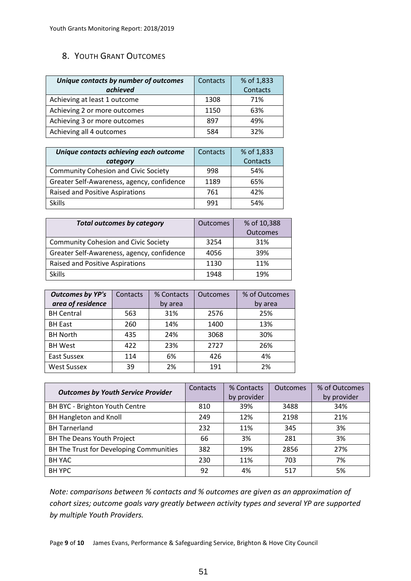### <span id="page-8-0"></span>8. YOUTH GRANT OUTCOMES

| Unique contacts by number of outcomes | Contacts | % of 1,833 |
|---------------------------------------|----------|------------|
| achieved                              |          | Contacts   |
| Achieving at least 1 outcome          | 1308     | 71%        |
| Achieving 2 or more outcomes          | 1150     | 63%        |
| Achieving 3 or more outcomes          | 897      | 49%        |
| Achieving all 4 outcomes              | 584      | 32%        |

| Unique contacts achieving each outcome      | Contacts | % of 1,833 |
|---------------------------------------------|----------|------------|
| category                                    |          | Contacts   |
| <b>Community Cohesion and Civic Society</b> | 998      | 54%        |
| Greater Self-Awareness, agency, confidence  | 1189     | 65%        |
| Raised and Positive Aspirations             | 761      | 42%        |
| <b>Skills</b>                               | 991      | 54%        |

| <b>Total outcomes by category</b>           | <b>Outcomes</b> | % of 10,388     |
|---------------------------------------------|-----------------|-----------------|
|                                             |                 | <b>Outcomes</b> |
| <b>Community Cohesion and Civic Society</b> | 3254            | 31%             |
| Greater Self-Awareness, agency, confidence  | 4056            | 39%             |
| Raised and Positive Aspirations             | 1130            | 11%             |
| <b>Skills</b>                               | 1948            | 19%             |

| <b>Outcomes by YP's</b> | Contacts | % Contacts | <b>Outcomes</b> | % of Outcomes |
|-------------------------|----------|------------|-----------------|---------------|
| area of residence       |          | by area    |                 | by area       |
| <b>BH Central</b>       | 563      | 31%        | 2576            | 25%           |
| <b>BH East</b>          | 260      | 14%        | 1400            | 13%           |
| <b>BH North</b>         | 435      | 24%        | 3068            | 30%           |
| <b>BH West</b>          | 422      | 23%        | 2727            | 26%           |
| East Sussex             | 114      | 6%         | 426             | 4%            |
| <b>West Sussex</b>      | 39       | 2%         | 191             | 2%            |

| <b>Outcomes by Youth Service Provider</b> | Contacts | % Contacts<br>by provider | <b>Outcomes</b> | % of Outcomes<br>by provider |
|-------------------------------------------|----------|---------------------------|-----------------|------------------------------|
| BH BYC - Brighton Youth Centre            | 810      | 39%                       | 3488            | 34%                          |
| <b>BH Hangleton and Knoll</b>             | 249      | 12%                       | 2198            | 21%                          |
| <b>BH Tarnerland</b>                      | 232      | 11%                       | 345             | 3%                           |
| BH The Deans Youth Project                | 66       | 3%                        | 281             | 3%                           |
| BH The Trust for Developing Communities   | 382      | 19%                       | 2856            | 27%                          |
| <b>BH YAC</b>                             | 230      | 11%                       | 703             | 7%                           |
| <b>BH YPC</b>                             | 92       | 4%                        | 517             | 5%                           |

<span id="page-8-1"></span>*Note: comparisons between % contacts and % outcomes are given as an approximation of cohort sizes; outcome goals vary greatly between activity types and several YP are supported by multiple Youth Providers.*

Page **9** of **10** James Evans, Performance & Safeguarding Service, Brighton & Hove City Council